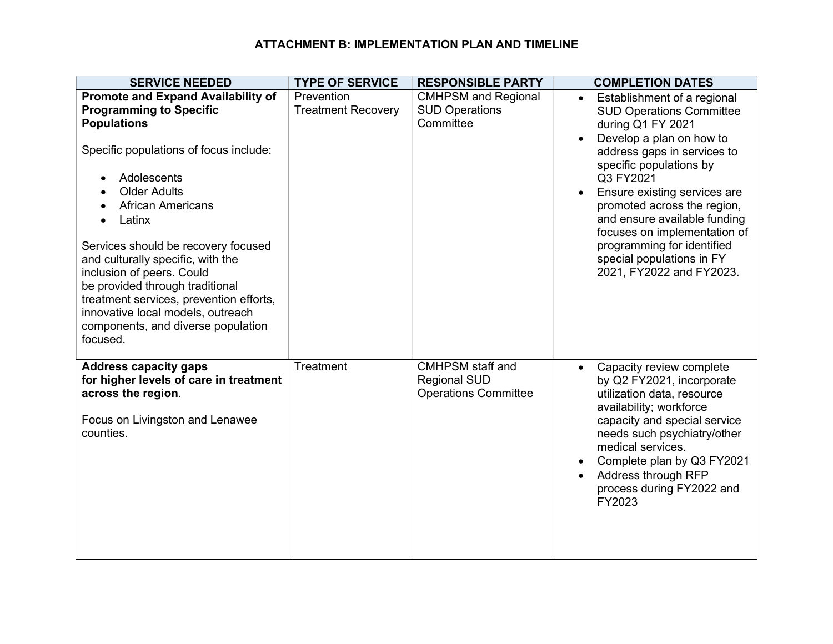## ATTACHMENT B: IMPLEMENTATION PLAN AND TIMELINE

| <b>SERVICE NEEDED</b>                                                                                                                                                                                                                                                                                            | <b>TYPE OF SERVICE</b>                  | <b>RESPONSIBLE PARTY</b>                                                      | <b>COMPLETION DATES</b>                                                                                                                                                                                                                                                                                     |
|------------------------------------------------------------------------------------------------------------------------------------------------------------------------------------------------------------------------------------------------------------------------------------------------------------------|-----------------------------------------|-------------------------------------------------------------------------------|-------------------------------------------------------------------------------------------------------------------------------------------------------------------------------------------------------------------------------------------------------------------------------------------------------------|
| <b>Promote and Expand Availability of</b><br><b>Programming to Specific</b><br><b>Populations</b><br>Specific populations of focus include:<br>Adolescents<br><b>Older Adults</b>                                                                                                                                | Prevention<br><b>Treatment Recovery</b> | <b>CMHPSM and Regional</b><br><b>SUD Operations</b><br>Committee              | Establishment of a regional<br>$\bullet$<br><b>SUD Operations Committee</b><br>during Q1 FY 2021<br>Develop a plan on how to<br>address gaps in services to<br>specific populations by<br>Q3 FY2021<br>Ensure existing services are<br>$\bullet$                                                            |
| <b>African Americans</b><br>Latinx<br>Services should be recovery focused<br>and culturally specific, with the<br>inclusion of peers. Could<br>be provided through traditional<br>treatment services, prevention efforts,<br>innovative local models, outreach<br>components, and diverse population<br>focused. |                                         |                                                                               | promoted across the region,<br>and ensure available funding<br>focuses on implementation of<br>programming for identified<br>special populations in FY<br>2021, FY2022 and FY2023.                                                                                                                          |
| <b>Address capacity gaps</b><br>for higher levels of care in treatment<br>across the region.<br>Focus on Livingston and Lenawee<br>counties.                                                                                                                                                                     | Treatment                               | <b>CMHPSM</b> staff and<br><b>Regional SUD</b><br><b>Operations Committee</b> | Capacity review complete<br>$\bullet$<br>by Q2 FY2021, incorporate<br>utilization data, resource<br>availability; workforce<br>capacity and special service<br>needs such psychiatry/other<br>medical services.<br>Complete plan by Q3 FY2021<br>Address through RFP<br>process during FY2022 and<br>FY2023 |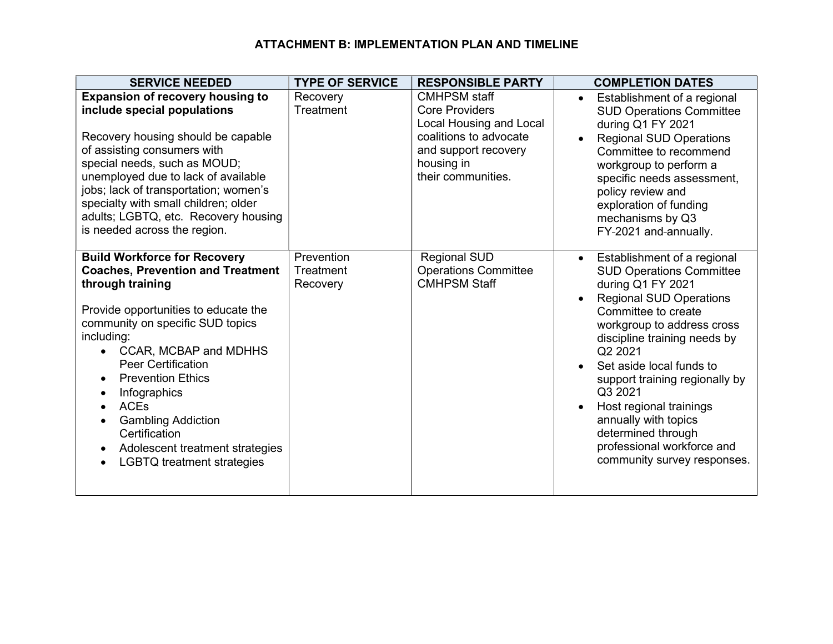## ATTACHMENT B: IMPLEMENTATION PLAN AND TIMELINE

| <b>SERVICE NEEDED</b>                                                                                                                                                                                                                                                                                                                                                                                                                             | <b>TYPE OF SERVICE</b>              | <b>RESPONSIBLE PARTY</b>                                                                                                                                      | <b>COMPLETION DATES</b>                                                                                                                                                                                                                                                                                                                                                                                                                                        |
|---------------------------------------------------------------------------------------------------------------------------------------------------------------------------------------------------------------------------------------------------------------------------------------------------------------------------------------------------------------------------------------------------------------------------------------------------|-------------------------------------|---------------------------------------------------------------------------------------------------------------------------------------------------------------|----------------------------------------------------------------------------------------------------------------------------------------------------------------------------------------------------------------------------------------------------------------------------------------------------------------------------------------------------------------------------------------------------------------------------------------------------------------|
| <b>Expansion of recovery housing to</b><br>include special populations<br>Recovery housing should be capable<br>of assisting consumers with<br>special needs, such as MOUD;<br>unemployed due to lack of available<br>jobs; lack of transportation; women's<br>specialty with small children; older<br>adults; LGBTQ, etc. Recovery housing<br>is needed across the region.                                                                       | Recovery<br>Treatment               | <b>CMHPSM staff</b><br><b>Core Providers</b><br>Local Housing and Local<br>coalitions to advocate<br>and support recovery<br>housing in<br>their communities. | Establishment of a regional<br><b>SUD Operations Committee</b><br>during Q1 FY 2021<br><b>Regional SUD Operations</b><br>$\bullet$<br>Committee to recommend<br>workgroup to perform a<br>specific needs assessment,<br>policy review and<br>exploration of funding<br>mechanisms by Q3<br>FY-2021 and-annually.                                                                                                                                               |
| <b>Build Workforce for Recovery</b><br><b>Coaches, Prevention and Treatment</b><br>through training<br>Provide opportunities to educate the<br>community on specific SUD topics<br>including:<br>CCAR, MCBAP and MDHHS<br><b>Peer Certification</b><br><b>Prevention Ethics</b><br>Infographics<br><b>ACEs</b><br><b>Gambling Addiction</b><br>$\bullet$<br>Certification<br>Adolescent treatment strategies<br><b>LGBTQ treatment strategies</b> | Prevention<br>Treatment<br>Recovery | <b>Regional SUD</b><br><b>Operations Committee</b><br><b>CMHPSM Staff</b>                                                                                     | Establishment of a regional<br>$\bullet$<br><b>SUD Operations Committee</b><br>during Q1 FY 2021<br><b>Regional SUD Operations</b><br>Committee to create<br>workgroup to address cross<br>discipline training needs by<br>Q2 2021<br>Set aside local funds to<br>$\bullet$<br>support training regionally by<br>Q3 2021<br>Host regional trainings<br>annually with topics<br>determined through<br>professional workforce and<br>community survey responses. |